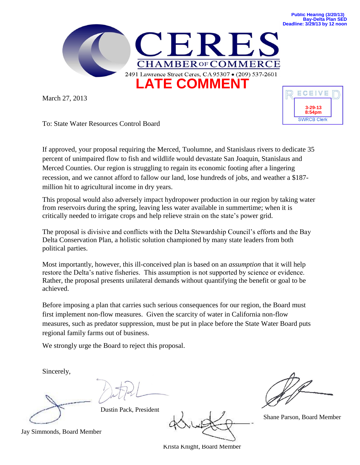

March 27, 2013



To: State Water Resources Control Board

If approved, your proposal requiring the Merced, Tuolumne, and Stanislaus rivers to dedicate 35 percent of unimpaired flow to fish and wildlife would devastate San Joaquin, Stanislaus and Merced Counties. Our region is struggling to regain its economic footing after a lingering recession, and we cannot afford to fallow our land, lose hundreds of jobs, and weather a \$187 million hit to agricultural income in dry years.

This proposal would also adversely impact hydropower production in our region by taking water from reservoirs during the spring, leaving less water available in summertime; when it is critically needed to irrigate crops and help relieve strain on the state's power grid.

The proposal is divisive and conflicts with the Delta Stewardship Council's efforts and the Bay Delta Conservation Plan, a holistic solution championed by many state leaders from both political parties.

Most importantly, however, this ill-conceived plan is based on an *assumption* that it will help restore the Delta's native fisheries. This assumption is not supported by science or evidence. Rather, the proposal presents unilateral demands without quantifying the benefit or goal to be achieved.

Before imposing a plan that carries such serious consequences for our region, the Board must first implement non-flow measures. Given the scarcity of water in California non-flow measures, such as predator suppression, must be put in place before the State Water Board puts regional family farms out of business.

We strongly urge the Board to reject this proposal.

Sincerely,

Dustin Pack, President

Shane Parson, Board Member

Jay Simmonds, Board Member

Krista Knight, Board Member